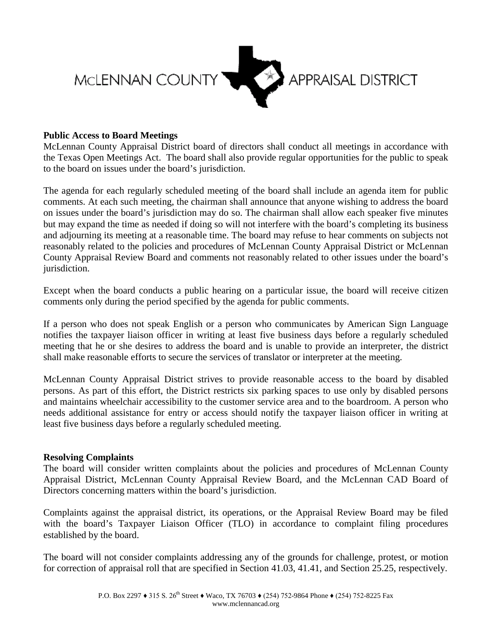

## **Public Access to Board Meetings**

McLennan County Appraisal District board of directors shall conduct all meetings in accordance with the Texas Open Meetings Act. The board shall also provide regular opportunities for the public to speak to the board on issues under the board's jurisdiction.

The agenda for each regularly scheduled meeting of the board shall include an agenda item for public comments. At each such meeting, the chairman shall announce that anyone wishing to address the board on issues under the board's jurisdiction may do so. The chairman shall allow each speaker five minutes but may expand the time as needed if doing so will not interfere with the board's completing its business and adjourning its meeting at a reasonable time. The board may refuse to hear comments on subjects not reasonably related to the policies and procedures of McLennan County Appraisal District or McLennan County Appraisal Review Board and comments not reasonably related to other issues under the board's jurisdiction.

Except when the board conducts a public hearing on a particular issue, the board will receive citizen comments only during the period specified by the agenda for public comments.

If a person who does not speak English or a person who communicates by American Sign Language notifies the taxpayer liaison officer in writing at least five business days before a regularly scheduled meeting that he or she desires to address the board and is unable to provide an interpreter, the district shall make reasonable efforts to secure the services of translator or interpreter at the meeting.

McLennan County Appraisal District strives to provide reasonable access to the board by disabled persons. As part of this effort, the District restricts six parking spaces to use only by disabled persons and maintains wheelchair accessibility to the customer service area and to the boardroom. A person who needs additional assistance for entry or access should notify the taxpayer liaison officer in writing at least five business days before a regularly scheduled meeting.

## **Resolving Complaints**

The board will consider written complaints about the policies and procedures of McLennan County Appraisal District, McLennan County Appraisal Review Board, and the McLennan CAD Board of Directors concerning matters within the board's jurisdiction.

Complaints against the appraisal district, its operations, or the Appraisal Review Board may be filed with the board's Taxpayer Liaison Officer (TLO) in accordance to complaint filing procedures established by the board.

The board will not consider complaints addressing any of the grounds for challenge, protest, or motion for correction of appraisal roll that are specified in Section 41.03, 41.41, and Section 25.25, respectively.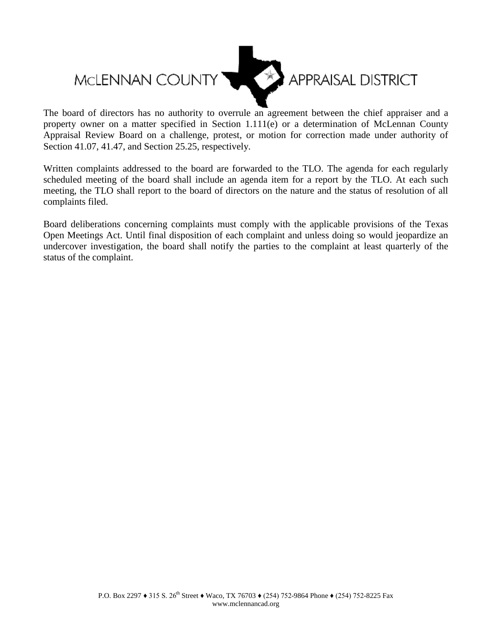

The board of directors has no authority to overrule an agreement between the chief appraiser and a property owner on a matter specified in Section 1.111(e) or a determination of McLennan County Appraisal Review Board on a challenge, protest, or motion for correction made under authority of Section 41.07, 41.47, and Section 25.25, respectively.

Written complaints addressed to the board are forwarded to the TLO. The agenda for each regularly scheduled meeting of the board shall include an agenda item for a report by the TLO. At each such meeting, the TLO shall report to the board of directors on the nature and the status of resolution of all complaints filed.

Board deliberations concerning complaints must comply with the applicable provisions of the Texas Open Meetings Act. Until final disposition of each complaint and unless doing so would jeopardize an undercover investigation, the board shall notify the parties to the complaint at least quarterly of the status of the complaint.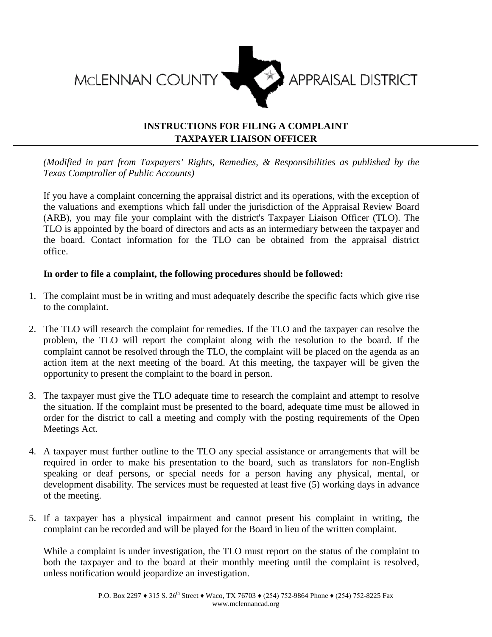

## **INSTRUCTIONS FOR FILING A COMPLAINT TAXPAYER LIAISON OFFICER**

*(Modified in part from Taxpayers' Rights, Remedies, & Responsibilities as published by the Texas Comptroller of Public Accounts)*

If you have a complaint concerning the appraisal district and its operations, with the exception of the valuations and exemptions which fall under the jurisdiction of the Appraisal Review Board (ARB), you may file your complaint with the district's Taxpayer Liaison Officer (TLO). The TLO is appointed by the board of directors and acts as an intermediary between the taxpayer and the board. Contact information for the TLO can be obtained from the appraisal district office.

## **In order to file a complaint, the following procedures should be followed:**

- 1. The complaint must be in writing and must adequately describe the specific facts which give rise to the complaint.
- 2. The TLO will research the complaint for remedies. If the TLO and the taxpayer can resolve the problem, the TLO will report the complaint along with the resolution to the board. If the complaint cannot be resolved through the TLO, the complaint will be placed on the agenda as an action item at the next meeting of the board. At this meeting, the taxpayer will be given the opportunity to present the complaint to the board in person.
- 3. The taxpayer must give the TLO adequate time to research the complaint and attempt to resolve the situation. If the complaint must be presented to the board, adequate time must be allowed in order for the district to call a meeting and comply with the posting requirements of the Open Meetings Act.
- 4. A taxpayer must further outline to the TLO any special assistance or arrangements that will be required in order to make his presentation to the board, such as translators for non-English speaking or deaf persons, or special needs for a person having any physical, mental, or development disability. The services must be requested at least five (5) working days in advance of the meeting.
- 5. If a taxpayer has a physical impairment and cannot present his complaint in writing, the complaint can be recorded and will be played for the Board in lieu of the written complaint.

While a complaint is under investigation, the TLO must report on the status of the complaint to both the taxpayer and to the board at their monthly meeting until the complaint is resolved, unless notification would jeopardize an investigation.